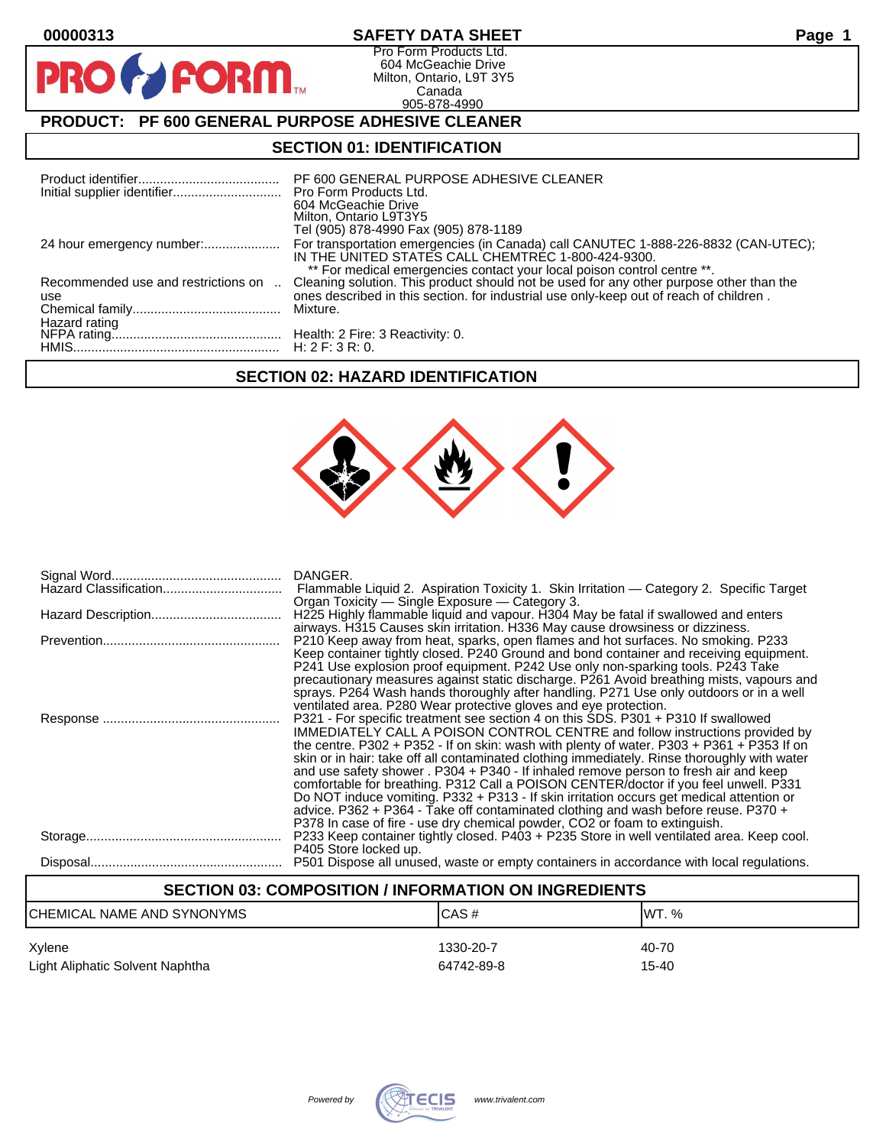$\mathbf O$ 

PR

# **00000313 SAFETY DATA SHEET Page 1**

Pro Form Products Ltd. 604 McGeachie Drive Milton, Ontario, L9T 3Y5 Canada 905-878-4990

# **PRODUCT: PF 600 GENERAL PURPOSE ADHESIVE CLEANER**

**FORM** 

## **SECTION 01: IDENTIFICATION**

| Initial supplier identifier Pro Form Products Ltd. | PF 600 GENERAL PURPOSE ADHESIVE CLEANER<br>604 McGeachie Drive<br>Milton, Ontario L9T3Y5<br>Tel (905) 878-4990 Fax (905) 878-1189                                                                                                                            |
|----------------------------------------------------|--------------------------------------------------------------------------------------------------------------------------------------------------------------------------------------------------------------------------------------------------------------|
|                                                    | For transportation emergencies (in Canada) call CANUTEC 1-888-226-8832 (CAN-UTEC);<br>IN THE UNITED STATES CALL CHEMTREC 1-800-424-9300.                                                                                                                     |
| Recommended use and restrictions on<br>use         | ** For medical emergencies contact your local poison control centre **.<br>Cleaning solution. This product should not be used for any other purpose other than the<br>ones described in this section. for industrial use only-keep out of reach of children. |
|                                                    | Mixture.                                                                                                                                                                                                                                                     |
|                                                    |                                                                                                                                                                                                                                                              |

# **SECTION 02: HAZARD IDENTIFICATION**



| DANGER.<br>Flammable Liquid 2. Aspiration Toxicity 1. Skin Irritation — Category 2. Specific Target<br>Organ Toxicity — Single Exposure — Category 3.                                                                                                                                                                                                                                                                                                                                                                                                                                                                                                                                                                                                                                                                                                                                     |
|-------------------------------------------------------------------------------------------------------------------------------------------------------------------------------------------------------------------------------------------------------------------------------------------------------------------------------------------------------------------------------------------------------------------------------------------------------------------------------------------------------------------------------------------------------------------------------------------------------------------------------------------------------------------------------------------------------------------------------------------------------------------------------------------------------------------------------------------------------------------------------------------|
| H225 Highly flammable liquid and vapour. H304 May be fatal if swallowed and enters<br>airways. H315 Causes skin irritation. H336 May cause drowsiness or dizziness.                                                                                                                                                                                                                                                                                                                                                                                                                                                                                                                                                                                                                                                                                                                       |
| P210 Keep away from heat, sparks, open flames and hot surfaces. No smoking. P233<br>Keep container tightly closed. P240 Ground and bond container and receiving equipment.<br>P241 Use explosion proof equipment. P242 Use only non-sparking tools. P243 Take<br>precautionary measures against static discharge. P261 Avoid breathing mists, vapours and<br>sprays. P264 Wash hands thoroughly after handling. P271 Use only outdoors or in a well                                                                                                                                                                                                                                                                                                                                                                                                                                       |
| ventilated area. P280 Wear protective gloves and eye protection.<br>P321 - For specific treatment see section 4 on this SDS. P301 + P310 If swallowed<br><b>IMMEDIATELY CALL A POISON CONTROL CENTRE and follow instructions provided by</b><br>the centre. P302 + P352 - If on skin: wash with plenty of water. P303 + P361 + P353 If on<br>skin or in hair: take off all contaminated clothing immediately. Rinse thoroughly with water<br>and use safety shower . P304 + P340 - If inhaled remove person to fresh air and keep<br>comfortable for breathing. P312 Call a POISON CENTER/doctor if you feel unwell. P331<br>Do NOT induce vomiting. P332 + P313 - If skin irritation occurs get medical attention or<br>advice. P362 + P364 - Take off contaminated clothing and wash before reuse. P370 +<br>P378 In case of fire - use dry chemical powder, CO2 or foam to extinguish. |
| P233 Keep container tightly closed. P403 + P235 Store in well ventilated area. Keep cool.<br>P405 Store locked up.                                                                                                                                                                                                                                                                                                                                                                                                                                                                                                                                                                                                                                                                                                                                                                        |
| P501 Dispose all unused, waste or empty containers in accordance with local regulations.                                                                                                                                                                                                                                                                                                                                                                                                                                                                                                                                                                                                                                                                                                                                                                                                  |

# **SECTION 03: COMPOSITION / INFORMATION ON INGREDIENTS**

| ICHEMICAL NAME AND SYNONYMS     | ICAS#      | IWT. % |
|---------------------------------|------------|--------|
| Xylene                          | 1330-20-7  | 40-70  |
| Light Aliphatic Solvent Naphtha | 64742-89-8 | 15-40  |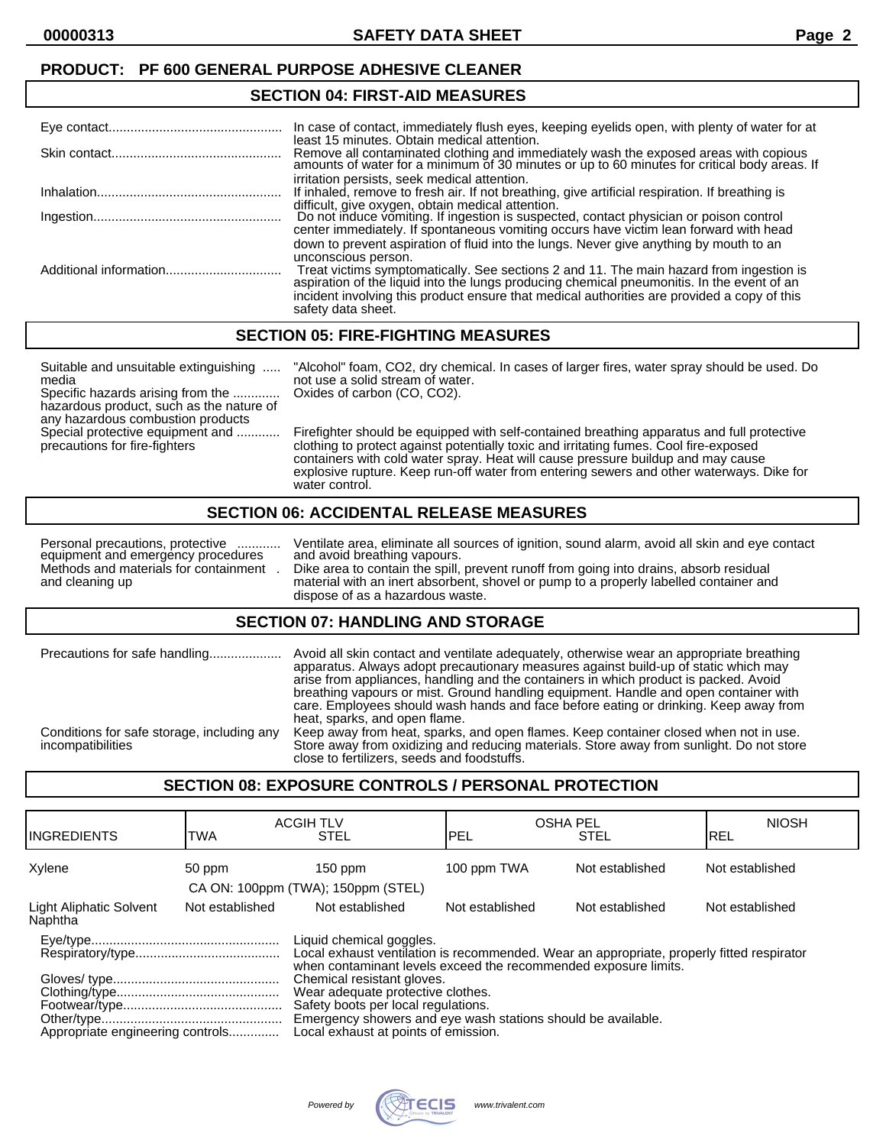# **SECTION 04: FIRST-AID MEASURES**

| In case of contact, immediately flush eyes, keeping eyelids open, with plenty of water for at                                                                                                                                                                                                                                                                                                |
|----------------------------------------------------------------------------------------------------------------------------------------------------------------------------------------------------------------------------------------------------------------------------------------------------------------------------------------------------------------------------------------------|
| least 15 minutes. Obtain medical attention.<br>Remove all contaminated clothing and immediately wash the exposed areas with copious amounts of water for a minimum of 30 minutes or up to 60 minutes for critical body areas. If                                                                                                                                                             |
| irritation persists, seek medical attention.<br>If inhaled, remove to fresh air. If not breathing, give artificial respiration. If breathing is                                                                                                                                                                                                                                              |
| difficult, give oxygen, obtain medical attention.<br>Do not induce vomiting. If ingestion is suspected, contact physician or poison control                                                                                                                                                                                                                                                  |
| center immediately. If spontaneous vomiting occurs have victim lean forward with head<br>down to prevent aspiration of fluid into the lungs. Never give anything by mouth to an<br>unconscious person.<br>Treat victims symptomatically. See sections 2 and 11. The main hazard from ingestion is aspiration of the liquid into the lungs producing chemical pneumonitis. In the event of an |
| incident involving this product ensure that medical authorities are provided a copy of this<br>safety data sheet.                                                                                                                                                                                                                                                                            |

#### **SECTION 05: FIRE-FIGHTING MEASURES**

Suitable and unsuitable extinguishing ..... "Alcohol" foam, CO2, dry chemical. In cases of larger fires, water spray should be used. Do media not use a solid stream of water. Specific hazards arising from the ............. Oxides of carbon (CO, CO2). hazardous product, such as the nature of any hazardous combustion products<br>Special protective equipment and ............ Firefighter should be equipped with self-contained breathing apparatus and full protective precautions for fire-fighters clothing to protect against potentially toxic and irritating fumes. Cool fire-exposed containers with cold water spray. Heat will cause pressure buildup and may cause explosive rupture. Keep run-off water from entering sewers and other waterways. Dike for water control.

#### **SECTION 06: ACCIDENTAL RELEASE MEASURES**

equipment and emergency procedures<br>Methods and materials for containment.

Personal precautions, protective ............ Ventilate area, eliminate all sources of ignition, sound alarm, avoid all skin and eye contact equipment and emergency procedures and avoid breathing vapours. Methods and materials for containment . Dike area to contain the spill, prevent runoff from going into drains, absorb residual material with an inert absorbent, shovel or pump to a properly labelled container and dispose of as a hazardous waste.

#### **SECTION 07: HANDLING AND STORAGE**

| Precautions for safe handling                                   | Avoid all skin contact and ventilate adequately, otherwise wear an appropriate breathing<br>apparatus. Always adopt precautionary measures against build-up of static which may<br>arise from appliances, handling and the containers in which product is packed. Avoid<br>breathing vapours or mist. Ground handling equipment. Handle and open container with<br>care. Employees should wash hands and face before eating or drinking. Keep away from<br>heat, sparks, and open flame. |
|-----------------------------------------------------------------|------------------------------------------------------------------------------------------------------------------------------------------------------------------------------------------------------------------------------------------------------------------------------------------------------------------------------------------------------------------------------------------------------------------------------------------------------------------------------------------|
| Conditions for safe storage, including any<br>incompatibilities | Keep away from heat, sparks, and open flames. Keep container closed when not in use.<br>Store away from oxidizing and reducing materials. Store away from sunlight. Do not store<br>close to fertilizers, seeds and foodstuffs.                                                                                                                                                                                                                                                          |

#### **SECTION 08: EXPOSURE CONTROLS / PERSONAL PROTECTION**

| IINGREDIENTS                                                                                                                                                                             | TWA             | <b>ACGIH TLV</b><br><b>STEL</b>                                                                                                                                                                                | <b>OSHA PEL</b><br>IPEL | <b>STEL</b>     | <b>NIOSH</b><br>IREL |
|------------------------------------------------------------------------------------------------------------------------------------------------------------------------------------------|-----------------|----------------------------------------------------------------------------------------------------------------------------------------------------------------------------------------------------------------|-------------------------|-----------------|----------------------|
| Xylene                                                                                                                                                                                   | 50 ppm          | $150$ ppm                                                                                                                                                                                                      | 100 ppm TWA             | Not established | Not established      |
|                                                                                                                                                                                          |                 | CA ON: 100ppm (TWA); 150ppm (STEL)                                                                                                                                                                             |                         |                 |                      |
| Light Aliphatic Solvent<br>Naphtha                                                                                                                                                       | Not established | Not established                                                                                                                                                                                                | Not established         | Not established | Not established      |
| Liquid chemical goggles.<br>Local exhaust ventilation is recommended. Wear an appropriate, properly fitted respirator<br>when contaminant levels exceed the recommended exposure limits. |                 |                                                                                                                                                                                                                |                         |                 |                      |
| Appropriate engineering controls                                                                                                                                                         |                 | Chemical resistant gloves.<br>Wear adequate protective clothes.<br>Safety boots per local regulations.<br>Emergency showers and eye wash stations should be available.<br>Local exhaust at points of emission. |                         |                 |                      |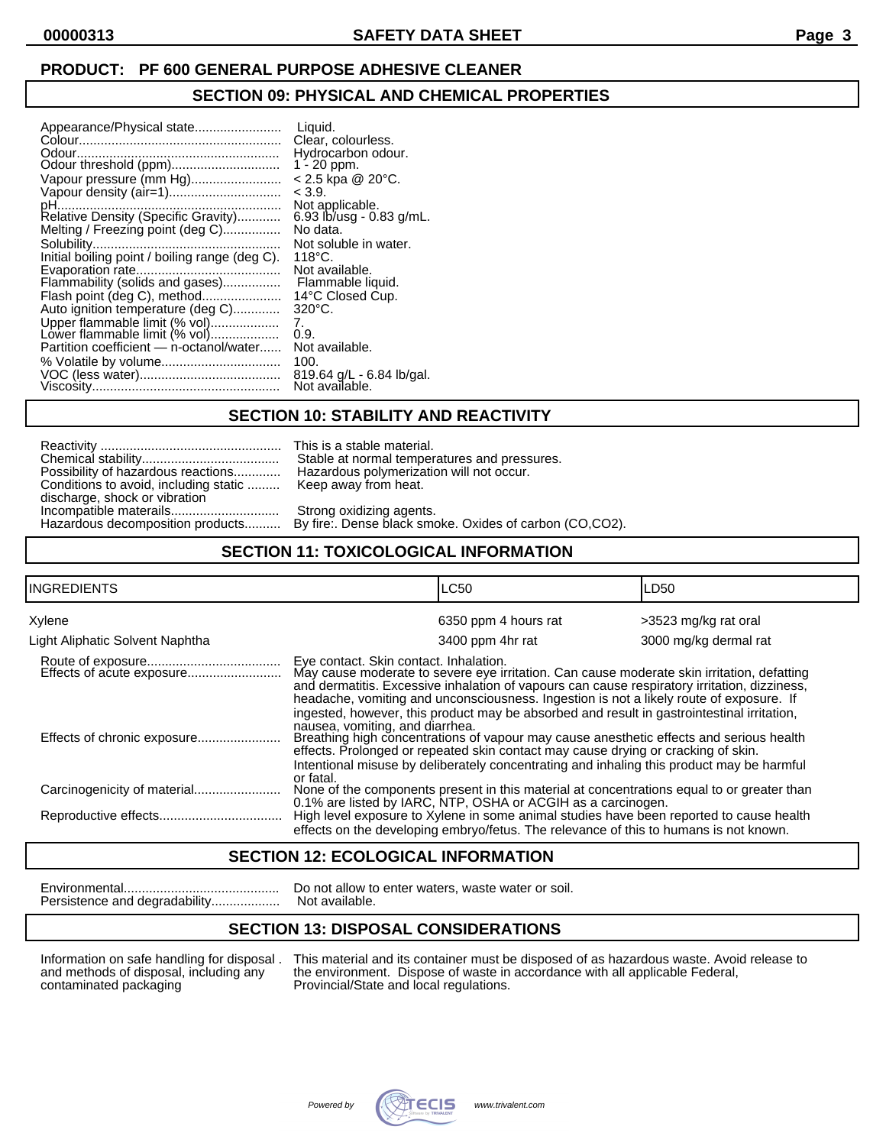#### **PRODUCT: PF 600 GENERAL PURPOSE ADHESIVE CLEANER**

#### **SECTION 09: PHYSICAL AND CHEMICAL PROPERTIES**

| Appearance/Physical state<br>Vapour pressure (mm Hg)<br>Vapour density (air=1)<br>Melting / Freezing point (deg C)<br>Initial boiling point / boiling range (deg C).<br>Evaporation rate<br>Flammability (solids and gases)<br>Flash point (deg C), method<br>Auto ignition temperature (deg C)<br>Upper flammable limit (% vol)<br>Lower flammable limit (% vol)<br>Partition coefficient - n-octanol/water | Liquid.<br>Clear, colourless.<br>Hydrocarbon odour.<br>$1 - 20$ ppm.<br>$< 2.5$ kpa @ 20 $^{\circ}$ C.<br>< 3.9.<br>Not applicable.<br>6.93 lb/usg - 0.83 g/mL.<br>No data.<br>Not soluble in water.<br>$118^{\circ}$ C.<br>Not available.<br>Flammable liquid.<br>14°C Closed Cup.<br>$320^{\circ}$ C.<br>7.<br>0.9.<br>Not available.<br>100. |
|--------------------------------------------------------------------------------------------------------------------------------------------------------------------------------------------------------------------------------------------------------------------------------------------------------------------------------------------------------------------------------------------------------------|-------------------------------------------------------------------------------------------------------------------------------------------------------------------------------------------------------------------------------------------------------------------------------------------------------------------------------------------------|
|                                                                                                                                                                                                                                                                                                                                                                                                              | 819.64 g/L - 6.84 lb/gal.<br>Not available.                                                                                                                                                                                                                                                                                                     |

#### **SECTION 10: STABILITY AND REACTIVITY**

This is a stable material. Stable at normal temperatures and pressures. Hazardous polymerization will not occur. Keep away from heat.

Strong oxidizing agents. By fire:. Dense black smoke. Oxides of carbon (CO,CO2).

## **SECTION 11: TOXICOLOGICAL INFORMATION**

| <b>INGREDIENTS</b>              | <b>LC50</b>                                                                                                                                                                                                                                                                                                                     | LD50                  |  |
|---------------------------------|---------------------------------------------------------------------------------------------------------------------------------------------------------------------------------------------------------------------------------------------------------------------------------------------------------------------------------|-----------------------|--|
| Xylene                          | 6350 ppm 4 hours rat                                                                                                                                                                                                                                                                                                            | >3523 mg/kg rat oral  |  |
| Light Aliphatic Solvent Naphtha | 3400 ppm 4hr rat                                                                                                                                                                                                                                                                                                                | 3000 mg/kg dermal rat |  |
| Effects of acute exposure       | Eye contact. Skin contact. Inhalation.<br>May cause moderate to severe eye irritation. Can cause moderate skin irritation, defatting<br>and dermatitis. Excessive inhalation of vapours can cause respiratory irritation, dizziness,<br>headache, vomiting and unconsciousness. Ingestion is not a likely route of exposure. If |                       |  |
| Effects of chronic exposure     | ingested, however, this product may be absorbed and result in gastrointestinal irritation,<br>nausea, vomiting, and diarrhea.<br>Breathing high concentrations of vapour may cause anesthetic effects and serious health<br>effects. Prolonged or repeated skin contact may cause drying or cracking of skin.                   |                       |  |
| Carcinogenicity of material     | Intentional misuse by deliberately concentrating and inhaling this product may be harmful<br>or fatal.<br>None of the components present in this material at concentrations equal to or greater than<br>0.1% are listed by IARC, NTP, OSHA or ACGIH as a carcinogen.                                                            |                       |  |
|                                 | High level exposure to Xylene in some animal studies have been reported to cause health<br>effects on the developing embryo/fetus. The relevance of this to humans is not known.                                                                                                                                                |                       |  |

#### **SECTION 12: ECOLOGICAL INFORMATION**

Persistence and degradability...................

Environmental........................................... Do not allow to enter waters, waste water or soil.

## **SECTION 13: DISPOSAL CONSIDERATIONS**

Information on safe handling for disposal . This material and its container must be disposed of as hazardous waste. Avoid release to and methods of disposal, including any the environment. Dispose of waste in accordance wi and methods of disposal, including any the environment. Dispose of waste in accordance with all applicable Federal, contaminated packaging Provincial/State and local regulations. Provincial/State and local regulations.